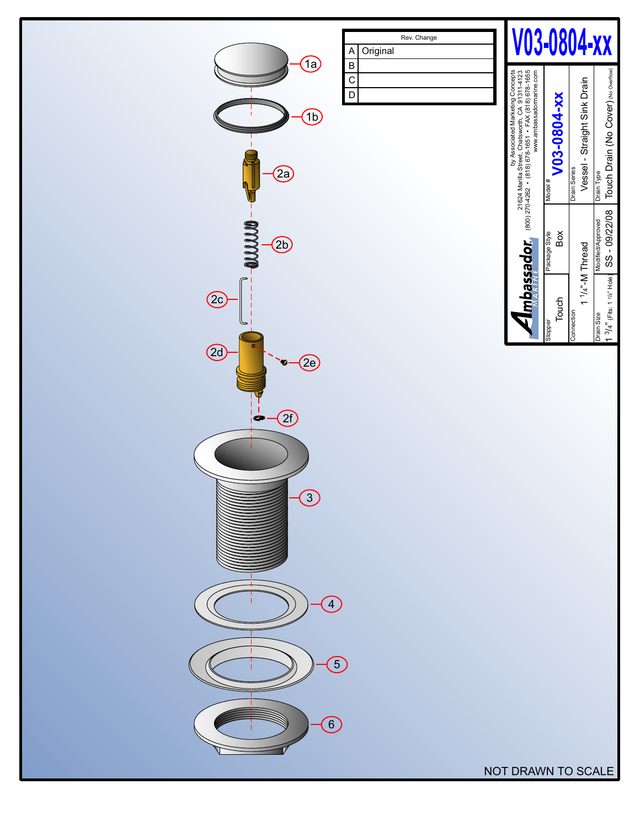